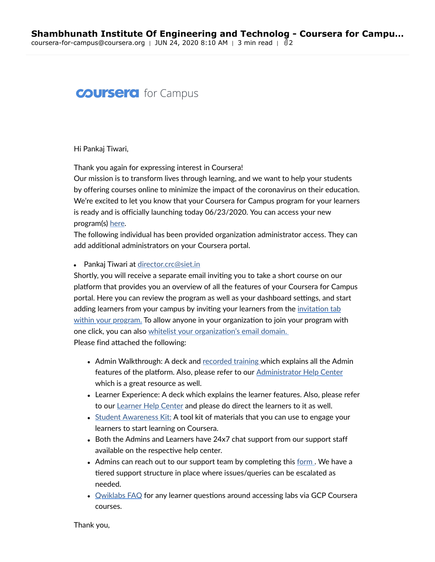## **COUrsera** for Campus

Hi Pankaj Tiwari,

Thank you again for expressing interest in Coursera!

Our mission is to transform lives through learning, and we want to help your students by offering courses online to minimize the impact of the coronavirus on their education. We're excited to let you know that your Coursera for Campus program for your learners is ready and is officially launching today 06/23/2020. You can access your new program(s) [here](https://www.coursera.org/o/c4c-shambhunath-institute-of-engineering-and-tech/admin).

The following individual has been provided organization administrator access. They can add additional administrators on your Coursera portal.

• Pankaj Tiwari at [director.crc@siet.in](mailto:director.crc@siet.in)

Shortly, you will receive a separate email inviting you to take a short course on our platform that provides you an overview of all the features of your Coursera for Campus portal. Here you can review the program as well as your dashboard settings, and start adding learners from your campus by inviting your learners from the invitation tab within your program. To allow anyone in your [organization](https://business.coursera.help/hc/en-us/articles/115000730987-Invite-people-to-your-program) to join your program with one click, you can also whitelist your [organization's](https://business.coursera.help/hc/en-us/articles/360047357213-Whitelisting-email-domains) email domain.

Please find attached the following:

- Admin Walkthrough: A deck and [recorded](https://business.coursera.help/hc/en-us/articles/360045169293) training which explains all the Admin features of the platform. Also, please refer to our [Administrator](https://business.coursera.help/hc/en-us/categories/204094368-Enterprise-Plan) Help Center which is a great resource as well.
- Learner Experience: A deck which explains the learner features. Also, please refer to our Learner [Help Center](https://learner.coursera.help/hc/en-us) and please do direct the learners to it as well.
- Student [Awareness](https://business.coursera.help/hc/en-us/articles/360043814073-Coursera-for-Campus-Learner-Marketing-Kit-) Kit: A tool kit of materials that you can use to engage your learners to start learning on Coursera.
- Both the Admins and Learners have 24x7 chat support from our support staff available on the respective help center.
- Admins can reach out to our support team by completing this <u>[form](https://business.coursera.help/hc/en-us/requests/new)</u>. We have a tiered support structure in place where issues/queries can be escalated as needed.
- [Qwiklabs](https://business.coursera.help/hc/en-us/articles/360044784654-Qwiklabs-Guide) FAQ for any learner questions around accessing labs via GCP Coursera courses.